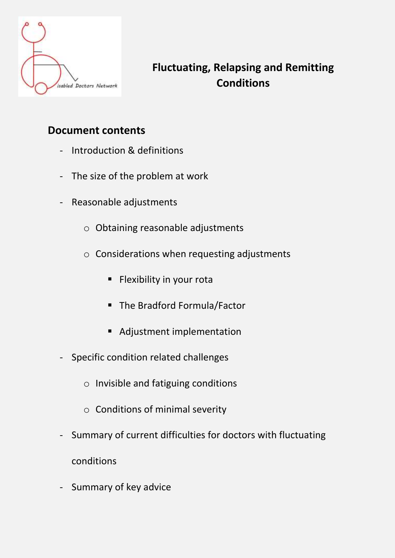

# **Fluctuating, Relapsing and Remitting Conditions**

## **Document contents**

- [Introduction & definitions](#page-1-0)
- [The size of the problem at work](#page-2-0)
- [Reasonable adjustments](#page-3-0)
	- o [Obtaining reasonable adjustments](#page-3-0)
	- o [Considerations when requesting adjustments](#page-3-0)
		- **E** [Flexibility in your rota](#page-3-0)
		- [The Bradford Formula/Factor](#page-4-0)
		- [Adjustment implementation](#page-4-0)
- [Specific condition related challenges](#page-5-0)
	- o [Invisible and fatiguing conditions](#page-5-0)
	- o [Conditions of minimal severity](#page-6-0)
- [Summary of current difficulties for doctors with fluctuating](#page-6-0) conditions
- [Summary of key advice](#page-7-0)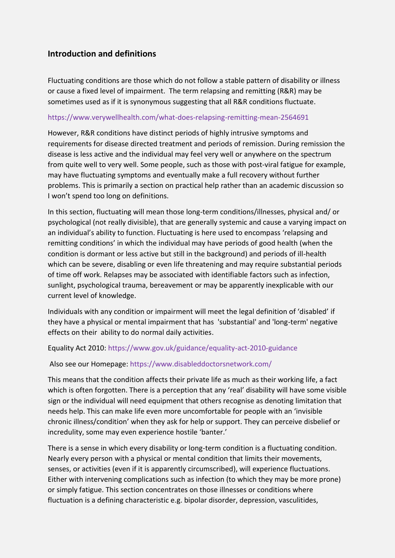#### <span id="page-1-0"></span>**Introduction and definitions**

Fluctuating conditions are those which do not follow a stable pattern of disability or illness or cause a fixed level of impairment. The term relapsing and remitting (R&R) may be sometimes used as if it is synonymous suggesting that all R&R conditions fluctuate.

#### <https://www.verywellhealth.com/what-does-relapsing-remitting-mean-2564691>

However, R&R conditions have distinct periods of highly intrusive symptoms and requirements for disease directed treatment and periods of remission. During remission the disease is less active and the individual may feel very well or anywhere on the spectrum from quite well to very well. Some people, such as those with post-viral fatigue for example, may have fluctuating symptoms and eventually make a full recovery without further problems. This is primarily a section on practical help rather than an academic discussion so I won't spend too long on definitions.

In this section, fluctuating will mean those long-term conditions/illnesses, physical and/ or psychological (not really divisible), that are generally systemic and cause a varying impact on an individual's ability to function. Fluctuating is here used to encompass 'relapsing and remitting conditions' in which the individual may have periods of good health (when the condition is dormant or less active but still in the background) and periods of ill-health which can be severe, disabling or even life threatening and may require substantial periods of time off work. Relapses may be associated with identifiable factors such as infection, sunlight, psychological trauma, bereavement or may be apparently inexplicable with our current level of knowledge.

Individuals with any condition or impairment will meet the legal definition of 'disabled' if they have a physical or mental impairment that has 'substantial' and 'long-term' negative effects on their ability to do normal daily activities.

#### Equality Act 2010: <https://www.gov.uk/guidance/equality-act-2010-guidance>

#### Also see our Homepage: https://www.disableddoctorsnetwork.com/

This means that the condition affects their private life as much as their working life, a fact which is often forgotten. There is a perception that any 'real' disability will have some visible sign or the individual will need equipment that others recognise as denoting limitation that needs help. This can make life even more uncomfortable for people with an 'invisible chronic illness/condition' when they ask for help or support. They can perceive disbelief or incredulity, some may even experience hostile 'banter.'

There is a sense in which every disability or long-term condition is a fluctuating condition. Nearly every person with a physical or mental condition that limits their movements, senses, or activities (even if it is apparently circumscribed), will experience fluctuations. Either with intervening complications such as infection (to which they may be more prone) or simply fatigue. This section concentrates on those illnesses or conditions where fluctuation is a defining characteristic e.g. bipolar disorder, depression, vasculitides,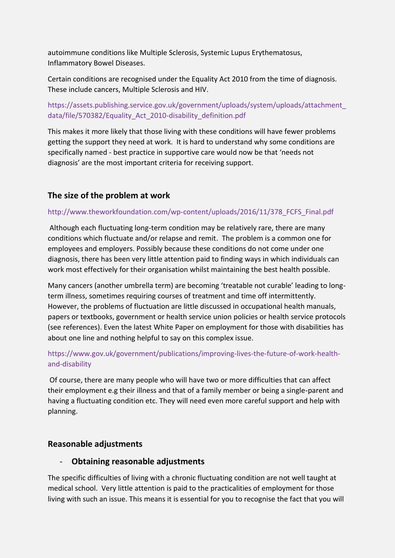<span id="page-2-0"></span>autoimmune conditions like Multiple Sclerosis, Systemic Lupus Erythematosus, Inflammatory Bowel Diseases.

Certain conditions are recognised under the Equality Act 2010 from the time of diagnosis. These include cancers, Multiple Sclerosis and HIV.

[https://assets.publishing.service.gov.uk/government/uploads/system/uploads/attachment\\_](https://assets.publishing.service.gov.uk/government/uploads/system/uploads/attachment_data/file/570382/Equality_Act_2010-disability_definition.pdf) [data/file/570382/Equality\\_Act\\_2010-disability\\_definition.pdf](https://assets.publishing.service.gov.uk/government/uploads/system/uploads/attachment_data/file/570382/Equality_Act_2010-disability_definition.pdf)

This makes it more likely that those living with these conditions will have fewer problems getting the support they need at work. It is hard to understand why some conditions are specifically named - best practice in supportive care would now be that 'needs not diagnosis' are the most important criteria for receiving support.

#### **The size of the problem at work**

#### [http://www.theworkfoundation.com/wp-content/uploads/2016/11/378\\_FCFS\\_Final.pdf](http://www.theworkfoundation.com/wp-content/uploads/2016/11/378_FCFS_Final.pdf)

Although each fluctuating long-term condition may be relatively rare, there are many conditions which fluctuate and/or relapse and remit. The problem is a common one for employees and employers. Possibly because these conditions do not come under one diagnosis, there has been very little attention paid to finding ways in which individuals can work most effectively for their organisation whilst maintaining the best health possible.

Many cancers (another umbrella term) are becoming 'treatable not curable' leading to longterm illness, sometimes requiring courses of treatment and time off intermittently. However, the problems of fluctuation are little discussed in occupational health manuals, papers or textbooks, government or health service union policies or health service protocols (see references). Even the latest White Paper on employment for those with disabilities has about one line and nothing helpful to say on this complex issue.

#### [https://www.gov.uk/government/publications/improving-lives-the-future-of-work-health](https://www.gov.uk/government/publications/improving-lives-the-future-of-work-health-and-disability)[and-disability](https://www.gov.uk/government/publications/improving-lives-the-future-of-work-health-and-disability)

Of course, there are many people who will have two or more difficulties that can affect their employment e.g their illness and that of a family member or being a single-parent and having a fluctuating condition etc. They will need even more careful support and help with planning.

#### **Reasonable adjustments**

#### - **Obtaining reasonable adjustments**

The specific difficulties of living with a chronic fluctuating condition are not well taught at medical school. Very little attention is paid to the practicalities of employment for those living with such an issue. This means it is essential for you to recognise the fact that you will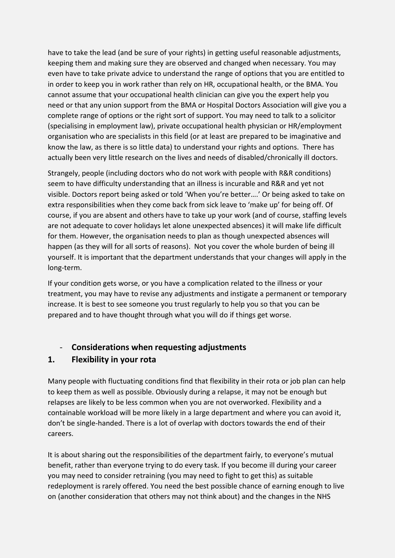<span id="page-3-0"></span>have to take the lead (and be sure of your rights) in getting useful reasonable adjustments, keeping them and making sure they are observed and changed when necessary. You may even have to take private advice to understand the range of options that you are entitled to in order to keep you in work rather than rely on HR, occupational health, or the BMA. You cannot assume that your occupational health clinician can give you the expert help you need or that any union support from the BMA or Hospital Doctors Association will give you a complete range of options or the right sort of support. You may need to talk to a solicitor (specialising in employment law), private occupational health physician or HR/employment organisation who are specialists in this field (or at least are prepared to be imaginative and know the law, as there is so little data) to understand your rights and options. There has actually been very little research on the lives and needs of disabled/chronically ill doctors.

Strangely, people (including doctors who do not work with people with R&R conditions) seem to have difficulty understanding that an illness is incurable and R&R and yet not visible. Doctors report being asked or told 'When you're better….' Or being asked to take on extra responsibilities when they come back from sick leave to 'make up' for being off. Of course, if you are absent and others have to take up your work (and of course, staffing levels are not adequate to cover holidays let alone unexpected absences) it will make life difficult for them. However, the organisation needs to plan as though unexpected absences will happen (as they will for all sorts of reasons). Not you cover the whole burden of being ill yourself. It is important that the department understands that your changes will apply in the long-term.

If your condition gets worse, or you have a complication related to the illness or your treatment, you may have to revise any adjustments and instigate a permanent or temporary increase. It is best to see someone you trust regularly to help you so that you can be prepared and to have thought through what you will do if things get worse.

#### - **Considerations when requesting adjustments**

#### **1. Flexibility in your rota**

Many people with fluctuating conditions find that flexibility in their rota or job plan can help to keep them as well as possible. Obviously during a relapse, it may not be enough but relapses are likely to be less common when you are not overworked. Flexibility and a containable workload will be more likely in a large department and where you can avoid it, don't be single-handed. There is a lot of overlap with doctors towards the end of their careers.

It is about sharing out the responsibilities of the department fairly, to everyone's mutual benefit, rather than everyone trying to do every task. If you become ill during your career you may need to consider retraining (you may need to fight to get this) as suitable redeployment is rarely offered. You need the best possible chance of earning enough to live on (another consideration that others may not think about) and the changes in the NHS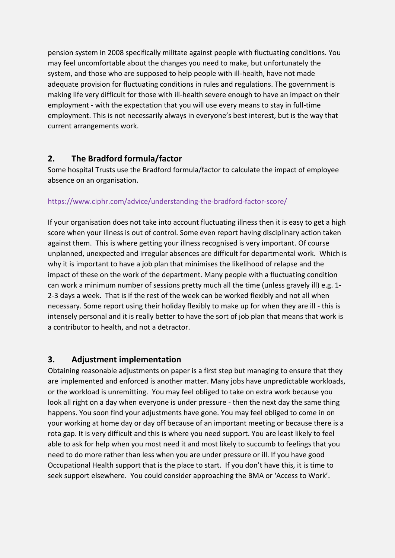<span id="page-4-0"></span>pension system in 2008 specifically militate against people with fluctuating conditions. You may feel uncomfortable about the changes you need to make, but unfortunately the system, and those who are supposed to help people with ill-health, have not made adequate provision for fluctuating conditions in rules and regulations. The government is making life very difficult for those with ill-health severe enough to have an impact on their employment - with the expectation that you will use every means to stay in full-time employment. This is not necessarily always in everyone's best interest, but is the way that current arrangements work.

## **2. The Bradford formula/factor**

Some hospital Trusts use the Bradford formula/factor to calculate the impact of employee absence on an organisation.

#### <https://www.ciphr.com/advice/understanding-the-bradford-factor-score/>

If your organisation does not take into account fluctuating illness then it is easy to get a high score when your illness is out of control. Some even report having disciplinary action taken against them. This is where getting your illness recognised is very important. Of course unplanned, unexpected and irregular absences are difficult for departmental work. Which is why it is important to have a job plan that minimises the likelihood of relapse and the impact of these on the work of the department. Many people with a fluctuating condition can work a minimum number of sessions pretty much all the time (unless gravely ill) e.g. 1- 2-3 days a week. That is if the rest of the week can be worked flexibly and not all when necessary. Some report using their holiday flexibly to make up for when they are ill - this is intensely personal and it is really better to have the sort of job plan that means that work is a contributor to health, and not a detractor.

#### **3. Adjustment implementation**

Obtaining reasonable adjustments on paper is a first step but managing to ensure that they are implemented and enforced is another matter. Many jobs have unpredictable workloads, or the workload is unremitting. You may feel obliged to take on extra work because you look all right on a day when everyone is under pressure - then the next day the same thing happens. You soon find your adjustments have gone. You may feel obliged to come in on your working at home day or day off because of an important meeting or because there is a rota gap. It is very difficult and this is where you need support. You are least likely to feel able to ask for help when you most need it and most likely to succumb to feelings that you need to do more rather than less when you are under pressure or ill. If you have good Occupational Health support that is the place to start. If you don't have this, it is time to seek support elsewhere. You could consider approaching the BMA or 'Access to Work'.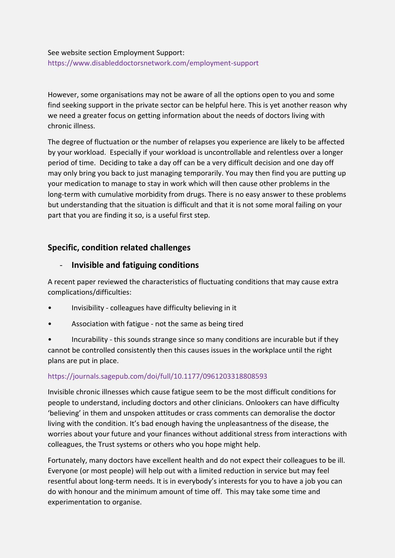#### <span id="page-5-0"></span>See website section Employment Support: <https://www.disableddoctorsnetwork.com/employment-support>

However, some organisations may not be aware of all the options open to you and some find seeking support in the private sector can be helpful here. This is yet another reason why we need a greater focus on getting information about the needs of doctors living with chronic illness.

The degree of fluctuation or the number of relapses you experience are likely to be affected by your workload. Especially if your workload is uncontrollable and relentless over a longer period of time. Deciding to take a day off can be a very difficult decision and one day off may only bring you back to just managing temporarily. You may then find you are putting up your medication to manage to stay in work which will then cause other problems in the long-term with cumulative morbidity from drugs. There is no easy answer to these problems but understanding that the situation is difficult and that it is not some moral failing on your part that you are finding it so, is a useful first step.

#### **Specific, condition related challenges**

#### - **Invisible and fatiguing conditions**

A recent paper reviewed the characteristics of fluctuating conditions that may cause extra complications/difficulties:

- Invisibility colleagues have difficulty believing in it
- Association with fatigue not the same as being tired

• Incurability - this sounds strange since so many conditions are incurable but if they cannot be controlled consistently then this causes issues in the workplace until the right plans are put in place.

#### <https://journals.sagepub.com/doi/full/10.1177/0961203318808593>

Invisible chronic illnesses which cause fatigue seem to be the most difficult conditions for people to understand, including doctors and other clinicians. Onlookers can have difficulty 'believing' in them and unspoken attitudes or crass comments can demoralise the doctor living with the condition. It's bad enough having the unpleasantness of the disease, the worries about your future and your finances without additional stress from interactions with colleagues, the Trust systems or others who you hope might help.

Fortunately, many doctors have excellent health and do not expect their colleagues to be ill. Everyone (or most people) will help out with a limited reduction in service but may feel resentful about long-term needs. It is in everybody's interests for you to have a job you can do with honour and the minimum amount of time off. This may take some time and experimentation to organise.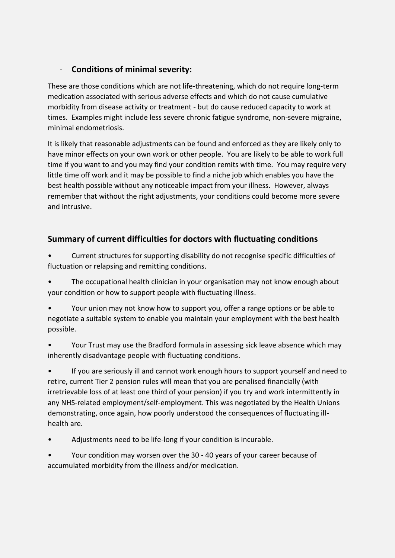## <span id="page-6-0"></span>- **Conditions of minimal severity:**

These are those conditions which are not life-threatening, which do not require long-term medication associated with serious adverse effects and which do not cause cumulative morbidity from disease activity or treatment - but do cause reduced capacity to work at times. Examples might include less severe chronic fatigue syndrome, non-severe migraine, minimal endometriosis.

It is likely that reasonable adjustments can be found and enforced as they are likely only to have minor effects on your own work or other people. You are likely to be able to work full time if you want to and you may find your condition remits with time. You may require very little time off work and it may be possible to find a niche job which enables you have the best health possible without any noticeable impact from your illness. However, always remember that without the right adjustments, your conditions could become more severe and intrusive.

## **Summary of current difficulties for doctors with fluctuating conditions**

• Current structures for supporting disability do not recognise specific difficulties of fluctuation or relapsing and remitting conditions.

• The occupational health clinician in your organisation may not know enough about your condition or how to support people with fluctuating illness.

• Your union may not know how to support you, offer a range options or be able to negotiate a suitable system to enable you maintain your employment with the best health possible.

• Your Trust may use the Bradford formula in assessing sick leave absence which may inherently disadvantage people with fluctuating conditions.

• If you are seriously ill and cannot work enough hours to support yourself and need to retire, current Tier 2 pension rules will mean that you are penalised financially (with irretrievable loss of at least one third of your pension) if you try and work intermittently in any NHS-related employment/self-employment. This was negotiated by the Health Unions demonstrating, once again, how poorly understood the consequences of fluctuating illhealth are.

• Adjustments need to be life-long if your condition is incurable.

• Your condition may worsen over the 30 - 40 years of your career because of accumulated morbidity from the illness and/or medication.